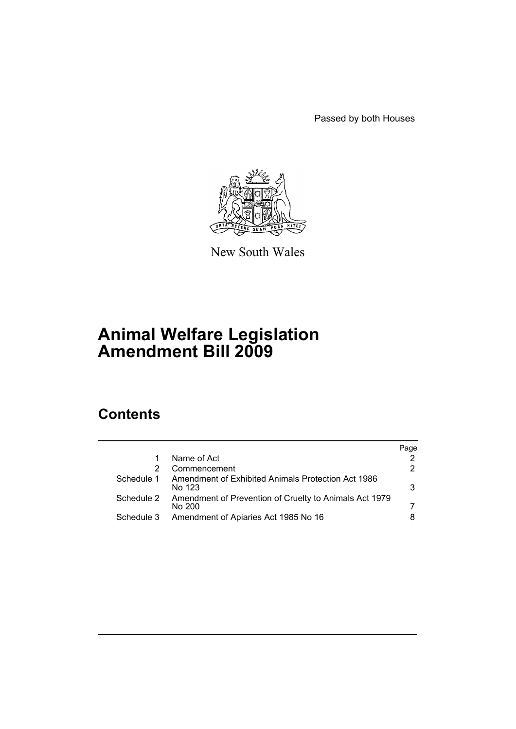Passed by both Houses



New South Wales

# **Animal Welfare Legislation Amendment Bill 2009**

# **Contents**

|            |                                                                  | Page |
|------------|------------------------------------------------------------------|------|
|            | Name of Act                                                      |      |
|            | Commencement                                                     | 2    |
| Schedule 1 | Amendment of Exhibited Animals Protection Act 1986<br>No 123     | 3    |
| Schedule 2 | Amendment of Prevention of Cruelty to Animals Act 1979<br>No 200 |      |
| Schedule 3 | Amendment of Apiaries Act 1985 No 16                             | 8    |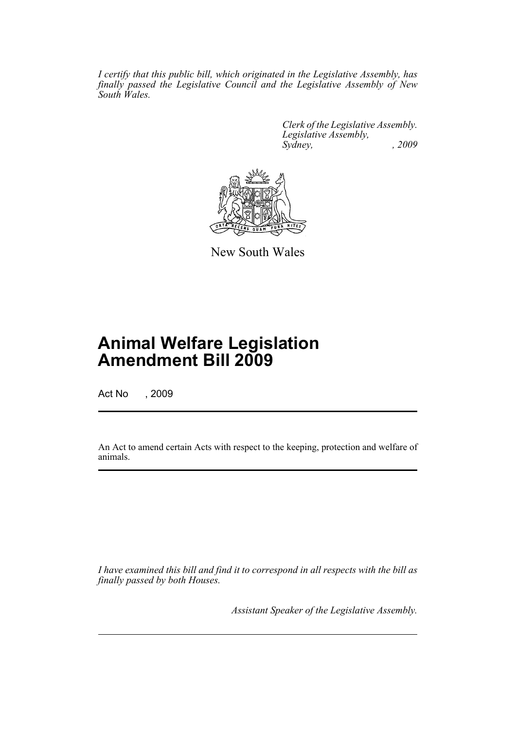*I certify that this public bill, which originated in the Legislative Assembly, has finally passed the Legislative Council and the Legislative Assembly of New South Wales.*

> *Clerk of the Legislative Assembly. Legislative Assembly, Sydney, , 2009*



New South Wales

# **Animal Welfare Legislation Amendment Bill 2009**

Act No , 2009

An Act to amend certain Acts with respect to the keeping, protection and welfare of animals.

*I have examined this bill and find it to correspond in all respects with the bill as finally passed by both Houses.*

*Assistant Speaker of the Legislative Assembly.*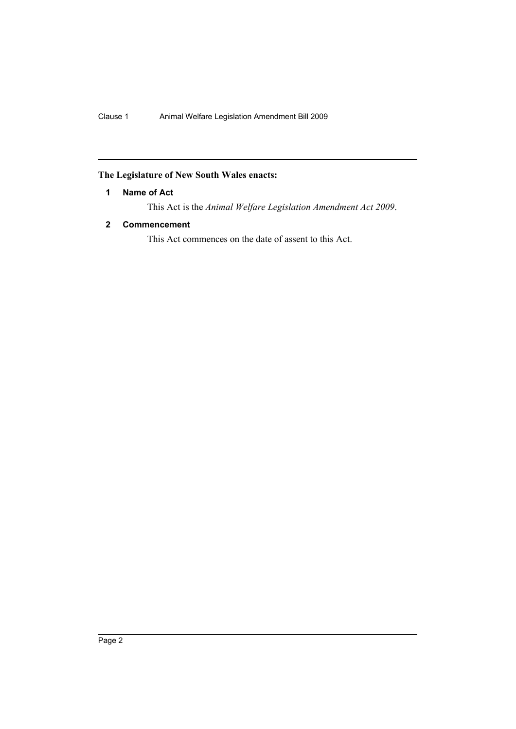## <span id="page-2-0"></span>**The Legislature of New South Wales enacts:**

## **1 Name of Act**

This Act is the *Animal Welfare Legislation Amendment Act 2009*.

## <span id="page-2-1"></span>**2 Commencement**

This Act commences on the date of assent to this Act.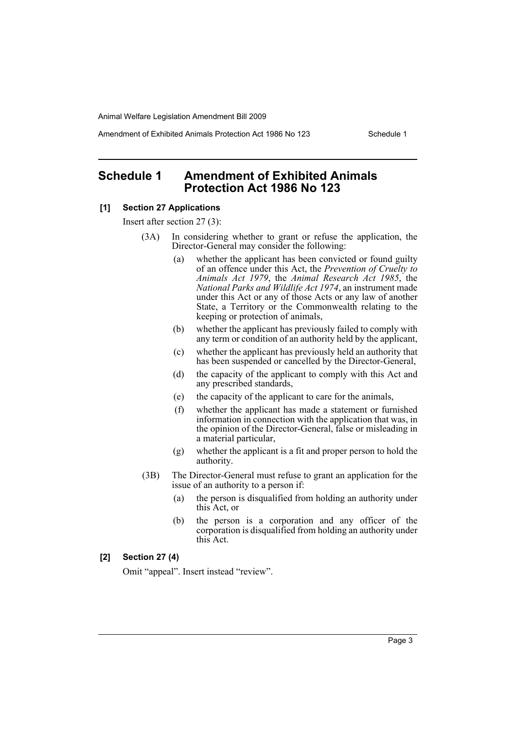Amendment of Exhibited Animals Protection Act 1986 No 123 Schedule 1

## <span id="page-3-0"></span>**Schedule 1 Amendment of Exhibited Animals Protection Act 1986 No 123**

## **[1] Section 27 Applications**

Insert after section 27 (3):

- (3A) In considering whether to grant or refuse the application, the Director-General may consider the following:
	- (a) whether the applicant has been convicted or found guilty of an offence under this Act, the *Prevention of Cruelty to Animals Act 1979*, the *Animal Research Act 1985*, the *National Parks and Wildlife Act 1974*, an instrument made under this Act or any of those Acts or any law of another State, a Territory or the Commonwealth relating to the keeping or protection of animals,
	- (b) whether the applicant has previously failed to comply with any term or condition of an authority held by the applicant,
	- (c) whether the applicant has previously held an authority that has been suspended or cancelled by the Director-General,
	- (d) the capacity of the applicant to comply with this Act and any prescribed standards,
	- (e) the capacity of the applicant to care for the animals,
	- (f) whether the applicant has made a statement or furnished information in connection with the application that was, in the opinion of the Director-General, false or misleading in a material particular,
	- (g) whether the applicant is a fit and proper person to hold the authority.
- (3B) The Director-General must refuse to grant an application for the issue of an authority to a person if:
	- (a) the person is disqualified from holding an authority under this Act, or
	- (b) the person is a corporation and any officer of the corporation is disqualified from holding an authority under this Act.

#### **[2] Section 27 (4)**

Omit "appeal". Insert instead "review".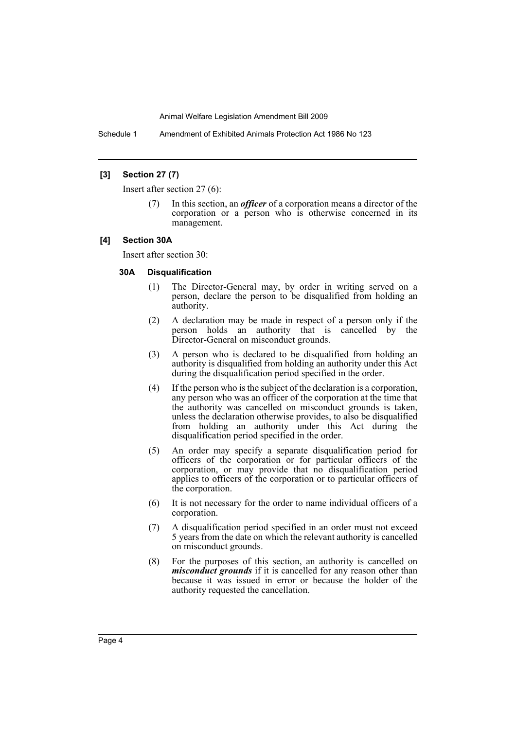Schedule 1 Amendment of Exhibited Animals Protection Act 1986 No 123

#### **[3] Section 27 (7)**

Insert after section 27 (6):

(7) In this section, an *officer* of a corporation means a director of the corporation or a person who is otherwise concerned in its management.

#### **[4] Section 30A**

Insert after section 30:

#### **30A Disqualification**

- (1) The Director-General may, by order in writing served on a person, declare the person to be disqualified from holding an authority.
- (2) A declaration may be made in respect of a person only if the person holds an authority that is cancelled by the Director-General on misconduct grounds.
- (3) A person who is declared to be disqualified from holding an authority is disqualified from holding an authority under this Act during the disqualification period specified in the order.
- (4) If the person who is the subject of the declaration is a corporation, any person who was an officer of the corporation at the time that the authority was cancelled on misconduct grounds is taken, unless the declaration otherwise provides, to also be disqualified from holding an authority under this Act during the disqualification period specified in the order.
- (5) An order may specify a separate disqualification period for officers of the corporation or for particular officers of the corporation, or may provide that no disqualification period applies to officers of the corporation or to particular officers of the corporation.
- (6) It is not necessary for the order to name individual officers of a corporation.
- (7) A disqualification period specified in an order must not exceed 5 years from the date on which the relevant authority is cancelled on misconduct grounds.
- (8) For the purposes of this section, an authority is cancelled on *misconduct grounds* if it is cancelled for any reason other than because it was issued in error or because the holder of the authority requested the cancellation.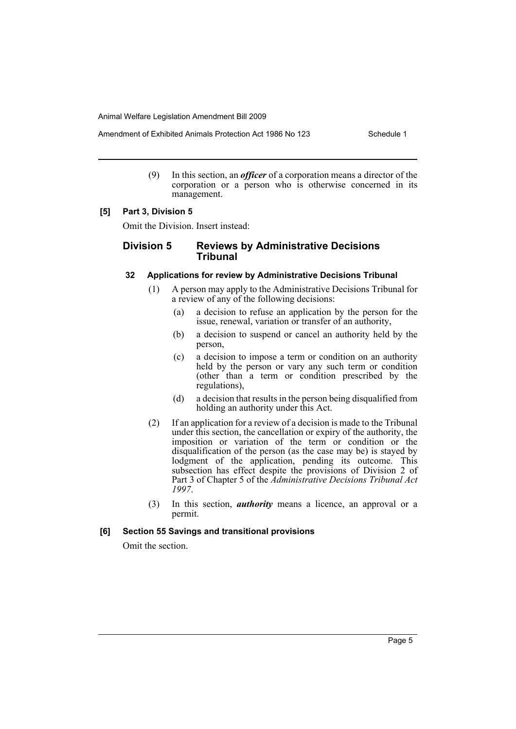Amendment of Exhibited Animals Protection Act 1986 No 123 Schedule 1

(9) In this section, an *officer* of a corporation means a director of the corporation or a person who is otherwise concerned in its management.

#### **[5] Part 3, Division 5**

Omit the Division. Insert instead:

### **Division 5 Reviews by Administrative Decisions Tribunal**

#### **32 Applications for review by Administrative Decisions Tribunal**

- (1) A person may apply to the Administrative Decisions Tribunal for a review of any of the following decisions:
	- (a) a decision to refuse an application by the person for the issue, renewal, variation or transfer of an authority,
	- (b) a decision to suspend or cancel an authority held by the person,
	- (c) a decision to impose a term or condition on an authority held by the person or vary any such term or condition (other than a term or condition prescribed by the regulations),
	- (d) a decision that results in the person being disqualified from holding an authority under this Act.
- (2) If an application for a review of a decision is made to the Tribunal under this section, the cancellation or expiry of the authority, the imposition or variation of the term or condition or the disqualification of the person (as the case may be) is stayed by lodgment of the application, pending its outcome. This subsection has effect despite the provisions of Division 2 of Part 3 of Chapter 5 of the *Administrative Decisions Tribunal Act 1997*.
- (3) In this section, *authority* means a licence, an approval or a permit.

#### **[6] Section 55 Savings and transitional provisions**

Omit the section.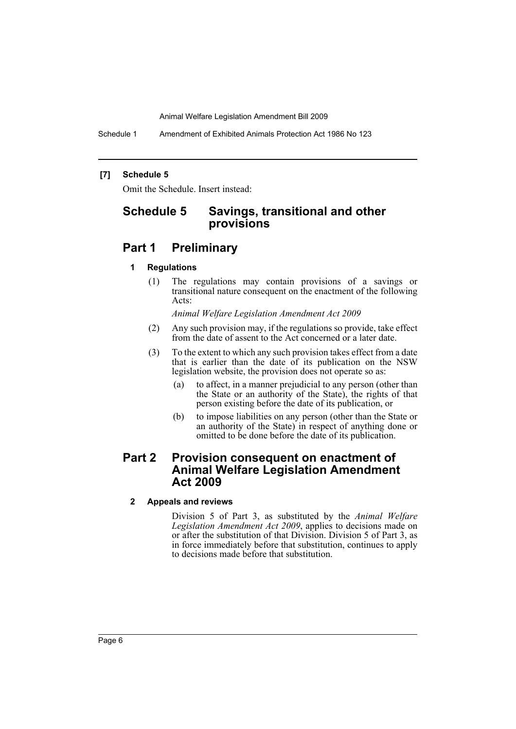Schedule 1 Amendment of Exhibited Animals Protection Act 1986 No 123

#### **[7] Schedule 5**

Omit the Schedule. Insert instead:

# **Schedule 5 Savings, transitional and other provisions**

## **Part 1 Preliminary**

#### **1 Regulations**

(1) The regulations may contain provisions of a savings or transitional nature consequent on the enactment of the following Acts:

*Animal Welfare Legislation Amendment Act 2009*

- (2) Any such provision may, if the regulations so provide, take effect from the date of assent to the Act concerned or a later date.
- (3) To the extent to which any such provision takes effect from a date that is earlier than the date of its publication on the NSW legislation website, the provision does not operate so as:
	- (a) to affect, in a manner prejudicial to any person (other than the State or an authority of the State), the rights of that person existing before the date of its publication, or
	- (b) to impose liabilities on any person (other than the State or an authority of the State) in respect of anything done or omitted to be done before the date of its publication.

## **Part 2 Provision consequent on enactment of Animal Welfare Legislation Amendment Act 2009**

#### **2 Appeals and reviews**

Division 5 of Part 3, as substituted by the *Animal Welfare Legislation Amendment Act 2009*, applies to decisions made on or after the substitution of that Division. Division 5 of Part 3, as in force immediately before that substitution, continues to apply to decisions made before that substitution.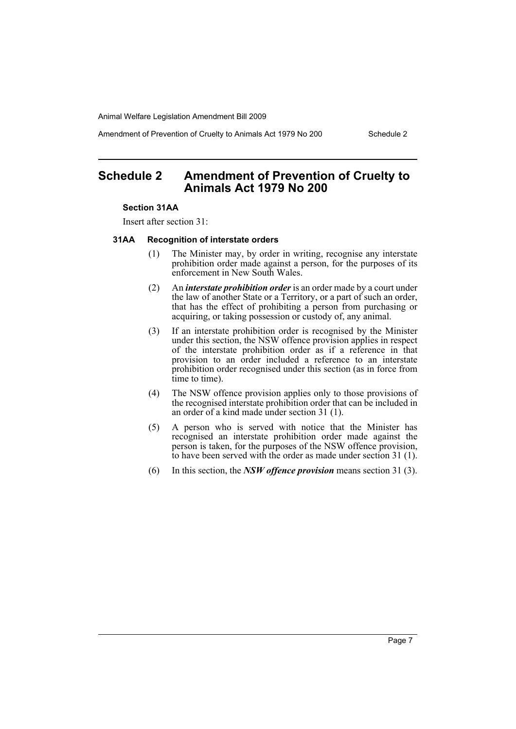Amendment of Prevention of Cruelty to Animals Act 1979 No 200 Schedule 2

# <span id="page-7-0"></span>**Schedule 2 Amendment of Prevention of Cruelty to Animals Act 1979 No 200**

#### **Section 31AA**

Insert after section 31:

#### **31AA Recognition of interstate orders**

- (1) The Minister may, by order in writing, recognise any interstate prohibition order made against a person, for the purposes of its enforcement in New South Wales.
- (2) An *interstate prohibition order* is an order made by a court under the law of another State or a Territory, or a part of such an order, that has the effect of prohibiting a person from purchasing or acquiring, or taking possession or custody of, any animal.
- (3) If an interstate prohibition order is recognised by the Minister under this section, the NSW offence provision applies in respect of the interstate prohibition order as if a reference in that provision to an order included a reference to an interstate prohibition order recognised under this section (as in force from time to time).
- (4) The NSW offence provision applies only to those provisions of the recognised interstate prohibition order that can be included in an order of a kind made under section 31 (1).
- (5) A person who is served with notice that the Minister has recognised an interstate prohibition order made against the person is taken, for the purposes of the NSW offence provision, to have been served with the order as made under section 31 (1).
- (6) In this section, the *NSW offence provision* means section 31 (3).